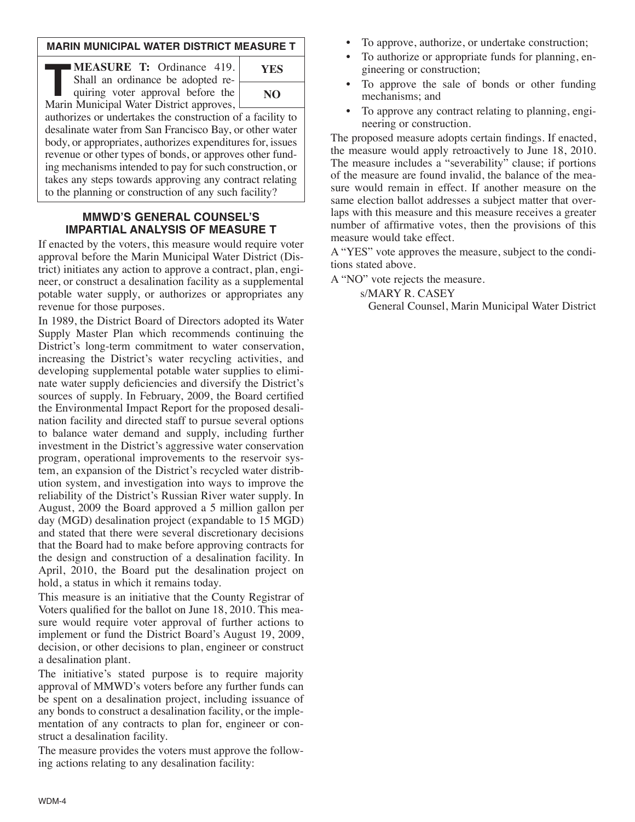### **MARIN MUNICIPAL WATER DISTRICT MEASURE T**

**TREASURE T:** Ordinance 419.<br>
Shall an ordinance be adopted requiring voter approval before the<br>
Marin Municipal Water District approves Shall an ordinance be adopted requiring voter approval before the Marin Municipal Water District approves,

| <b>YES</b> |  |
|------------|--|
| NO         |  |
|            |  |

authorizes or undertakes the construction of a facility to desalinate water from San Francisco Bay, or other water body, or appropriates, authorizes expenditures for, issues revenue or other types of bonds, or approves other funding mechanisms intended to pay for such construction, or takes any steps towards approving any contract relating to the planning or construction of any such facility?

### **MMWD'S GENERAL COUNSEL'S IMPARTIAL ANALYSIS OF MEASURE T**

If enacted by the voters, this measure would require voter approval before the Marin Municipal Water District (District) initiates any action to approve a contract, plan, engineer, or construct a desalination facility as a supplemental potable water supply, or authorizes or appropriates any revenue for those purposes.

In 1989, the District Board of Directors adopted its Water Supply Master Plan which recommends continuing the District's long-term commitment to water conservation, increasing the District's water recycling activities, and developing supplemental potable water supplies to eliminate water supply deficiencies and diversify the District's sources of supply. In February, 2009, the Board certified the Environmental Impact Report for the proposed desalination facility and directed staff to pursue several options to balance water demand and supply, including further investment in the District's aggressive water conservation program, operational improvements to the reservoir system, an expansion of the District's recycled water distribution system, and investigation into ways to improve the reliability of the District's Russian River water supply. In August, 2009 the Board approved a 5 million gallon per day (MGD) desalination project (expandable to 15 MGD) and stated that there were several discretionary decisions that the Board had to make before approving contracts for the design and construction of a desalination facility. In April, 2010, the Board put the desalination project on hold, a status in which it remains today.

This measure is an initiative that the County Registrar of Voters qualified for the ballot on June 18, 2010. This measure would require voter approval of further actions to implement or fund the District Board's August 19, 2009, decision, or other decisions to plan, engineer or construct a desalination plant.

The initiative's stated purpose is to require majority approval of MMWD's voters before any further funds can be spent on a desalination project, including issuance of any bonds to construct a desalination facility, or the implementation of any contracts to plan for, engineer or construct a desalination facility.

The measure provides the voters must approve the following actions relating to any desalination facility:

- To approve, authorize, or undertake construction;
- To authorize or appropriate funds for planning, engineering or construction;
- To approve the sale of bonds or other funding mechanisms; and
- To approve any contract relating to planning, engineering or construction.

The proposed measure adopts certain findings. If enacted, the measure would apply retroactively to June 18, 2010. The measure includes a "severability" clause; if portions of the measure are found invalid, the balance of the measure would remain in effect. If another measure on the same election ballot addresses a subject matter that overlaps with this measure and this measure receives a greater number of affirmative votes, then the provisions of this measure would take effect.

A "YES" vote approves the measure, subject to the conditions stated above.

A "NO" vote rejects the measure.

s/MARY R. CASEY

General Counsel, Marin Municipal Water District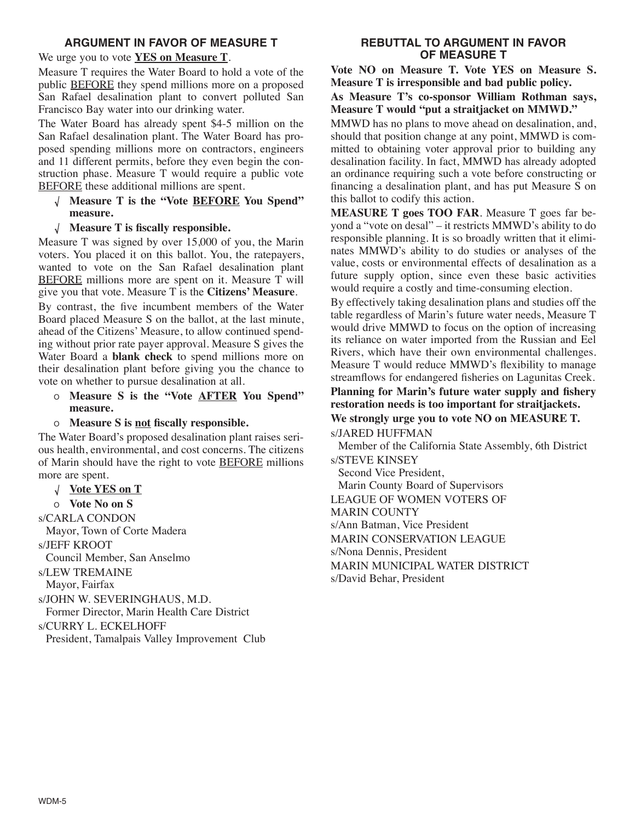## **ARGUMENT IN FAVOR OF MEASURE T**

## We urge you to vote **YES on Measure T**.

Measure T requires the Water Board to hold a vote of the public BEFORE they spend millions more on a proposed San Rafael desalination plant to convert polluted San Francisco Bay water into our drinking water.

The Water Board has already spent \$4-5 million on the San Rafael desalination plant. The Water Board has proposed spending millions more on contractors, engineers and 11 different permits, before they even begin the construction phase. Measure T would require a public vote BEFORE these additional millions are spent.

- **Measure T is the "Vote BEFORE You Spend" measure.**
- **Measure T is fiscally responsible.**

Measure T was signed by over 15,000 of you, the Marin voters. You placed it on this ballot. You, the ratepayers, wanted to vote on the San Rafael desalination plant BEFORE millions more are spent on it. Measure T will give you that vote. Measure T is the **Citizens' Measure**.

By contrast, the five incumbent members of the Water Board placed Measure S on the ballot, at the last minute, ahead of the Citizens' Measure, to allow continued spending without prior rate payer approval. Measure S gives the Water Board a **blank check** to spend millions more on their desalination plant before giving you the chance to vote on whether to pursue desalination at all.

- <sup>O</sup> **Measure S is the "Vote AFTER You Spend" measure.**
- <sup>O</sup> **Measure S is not fiscally responsible.**

The Water Board's proposed desalination plant raises serious health, environmental, and cost concerns. The citizens of Marin should have the right to vote **BEFORE** millions more are spent.

**Vote YES on T**

<sup>O</sup> **Vote No on S**

s/CARLA CONDON

Mayor, Town of Corte Madera

s/JEFF KROOT

Council Member, San Anselmo

s/LEW TREMAINE

Mayor, Fairfax

s/JOHN W. SEVERINGHAUS, M.D.

Former Director, Marin Health Care District

s/CURRY L. ECKELHOFF

President, Tamalpais Valley Improvement Club

# **REBUTTAL TO ARGUMENT IN FAVOR OF MEASURE T**

**Vote NO on Measure T. Vote YES on Measure S. Measure T is irresponsible and bad public policy.**

# **As Measure T's co-sponsor William Rothman says, Measure T would "put a straitjacket on MMWD."**

MMWD has no plans to move ahead on desalination, and, should that position change at any point, MMWD is committed to obtaining voter approval prior to building any desalination facility. In fact, MMWD has already adopted an ordinance requiring such a vote before constructing or financing a desalination plant, and has put Measure S on this ballot to codify this action.

**MEASURE T goes TOO FAR**. Measure T goes far beyond a "vote on desal" – it restricts MMWD's ability to do responsible planning. It is so broadly written that it eliminates MMWD's ability to do studies or analyses of the value, costs or environmental effects of desalination as a future supply option, since even these basic activities would require a costly and time-consuming election.

By effectively taking desalination plans and studies off the table regardless of Marin's future water needs, Measure T would drive MMWD to focus on the option of increasing its reliance on water imported from the Russian and Eel Rivers, which have their own environmental challenges. Measure T would reduce MMWD's flexibility to manage streamflows for endangered fisheries on Lagunitas Creek.

# **Planning for Marin's future water supply and fishery restoration needs is too important for straitjackets.**

# **We strongly urge you to vote NO on MEASURE T.**

s/JARED HUFFMAN Member of the California State Assembly, 6th District

s/STEVE KINSEY Second Vice President, Marin County Board of Supervisors LEAGUE OF WOMEN VOTERS OF MARIN COUNTY s/Ann Batman, Vice President MARIN CONSERVATION LEAGUE s/Nona Dennis, President MARIN MUNICIPAL WATER DISTRICT s/David Behar, President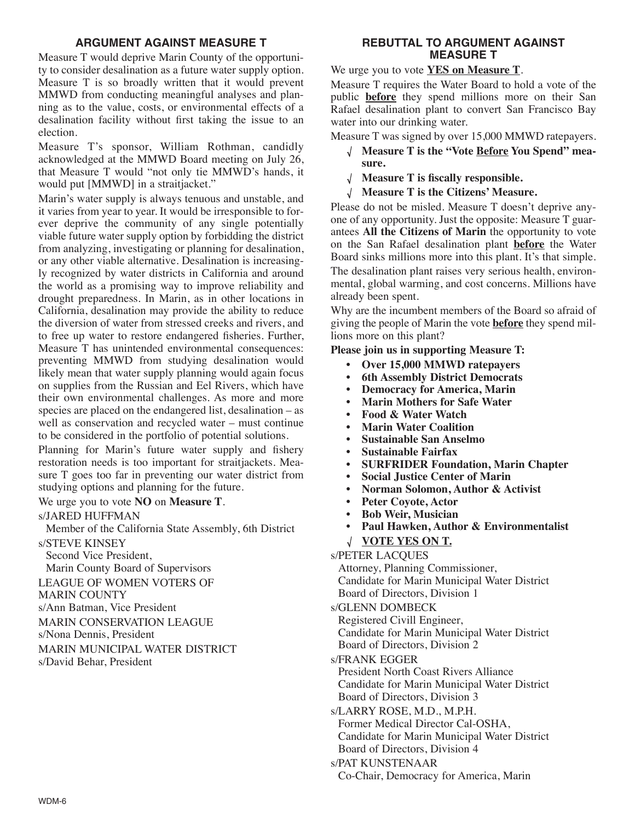## **ARGUMENT AGAINST MEASURE T**

Measure T would deprive Marin County of the opportunity to consider desalination as a future water supply option. Measure T is so broadly written that it would prevent MMWD from conducting meaningful analyses and planning as to the value, costs, or environmental effects of a desalination facility without first taking the issue to an election.

Measure T's sponsor, William Rothman, candidly acknowledged at the MMWD Board meeting on July 26, that Measure T would "not only tie MMWD's hands, it would put [MMWD] in a straitjacket."

Marin's water supply is always tenuous and unstable, and it varies from year to year. It would be irresponsible to forever deprive the community of any single potentially viable future water supply option by forbidding the district from analyzing, investigating or planning for desalination, or any other viable alternative. Desalination is increasingly recognized by water districts in California and around the world as a promising way to improve reliability and drought preparedness. In Marin, as in other locations in California, desalination may provide the ability to reduce the diversion of water from stressed creeks and rivers, and to free up water to restore endangered fisheries. Further, Measure T has unintended environmental consequences: preventing MMWD from studying desalination would likely mean that water supply planning would again focus on supplies from the Russian and Eel Rivers, which have their own environmental challenges. As more and more species are placed on the endangered list, desalination – as well as conservation and recycled water – must continue to be considered in the portfolio of potential solutions.

Planning for Marin's future water supply and fishery restoration needs is too important for straitjackets. Measure T goes too far in preventing our water district from studying options and planning for the future.

#### We urge you to vote **NO** on **Measure T**.

### s/JARED HUFFMAN

Member of the California State Assembly, 6th District

- s/STEVE KINSEY
- Second Vice President,

Marin County Board of Supervisors LEAGUE OF WOMEN VOTERS OF

MARIN COUNTY

s/Ann Batman, Vice President

MARIN CONSERVATION LEAGUE

s/Nona Dennis, President

MARIN MUNICIPAL WATER DISTRICT s/David Behar, President

### **REBUTTAL TO ARGUMENT AGAINST MEASURE T**

We urge you to vote **YES on Measure T**.

Measure T requires the Water Board to hold a vote of the public **before** they spend millions more on their San Rafael desalination plant to convert San Francisco Bay water into our drinking water.

Measure T was signed by over 15,000 MMWD ratepayers.

- **Measure T is the "Vote Before You Spend" measure.**
- **Measure T is fiscally responsible.**
- **Measure T is the Citizens' Measure.**

Please do not be misled. Measure T doesn't deprive anyone of any opportunity. Just the opposite: Measure T guarantees **All the Citizens of Marin** the opportunity to vote on the San Rafael desalination plant **before** the Water Board sinks millions more into this plant. It's that simple. The desalination plant raises very serious health, environmental, global warming, and cost concerns. Millions have already been spent.

Why are the incumbent members of the Board so afraid of giving the people of Marin the vote **before** they spend millions more on this plant?

**Please join us in supporting Measure T:**

- **• Over 15,000 MMWD ratepayers**
- **• 6th Assembly District Democrats**
- **• Democracy for America, Marin**
- **• Marin Mothers for Safe Water**
- **• Food & Water Watch**
- **• Marin Water Coalition**
- **• Sustainable San Anselmo**
- **• Sustainable Fairfax**
- **• SURFRIDER Foundation, Marin Chapter**
- **• Social Justice Center of Marin**
- **• Norman Solomon, Author & Activist**
- **• Peter Coyote, Actor**
- **• Bob Weir, Musician**
- **• Paul Hawken, Author & Environmentalist**
- **VOTE YES ON T.**

s/PETER LACQUES

Attorney, Planning Commissioner, Candidate for Marin Municipal Water District Board of Directors, Division 1

s/GLENN DOMBECK

Registered Civill Engineer, Candidate for Marin Municipal Water District Board of Directors, Division 2

s/FRANK EGGER

President North Coast Rivers Alliance Candidate for Marin Municipal Water District Board of Directors, Division 3

s/LARRY ROSE, M.D., M.P.H. Former Medical Director Cal-OSHA, Candidate for Marin Municipal Water District Board of Directors, Division 4

s/PAT KUNSTENAAR

Co-Chair, Democracy for America, Marin